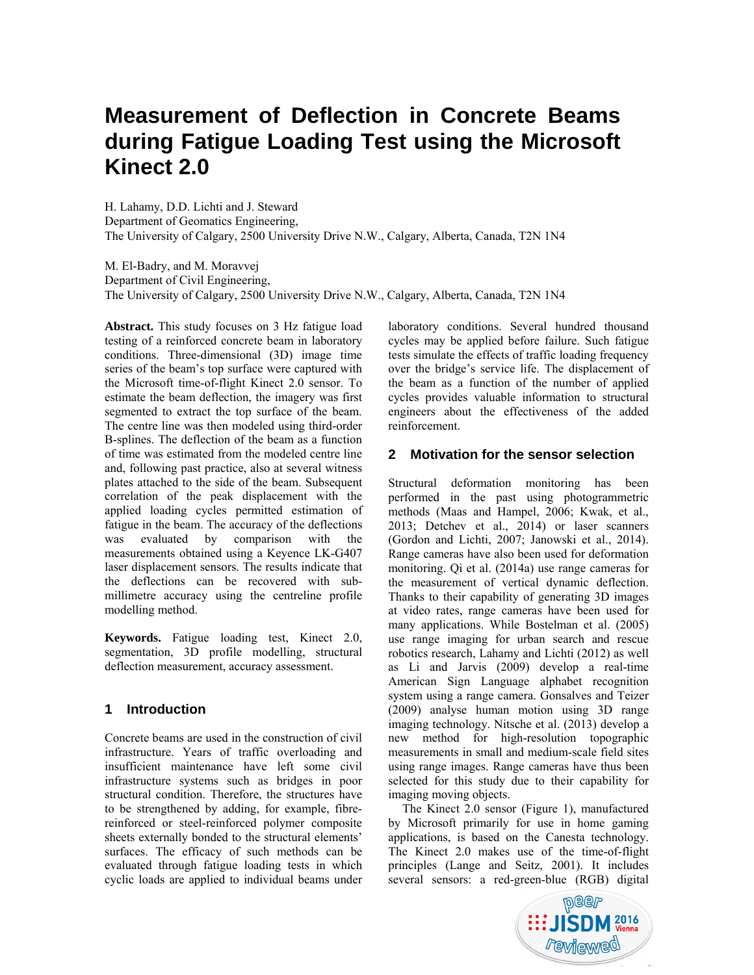# **Measurement of Deflection in Concrete Beams during Fatigue Loading Test using the Microsoft Kinect 2.0**

H. Lahamy, D.D. Lichti and J. Steward Department of Geomatics Engineering, The University of Calgary, 2500 University Drive N.W., Calgary, Alberta, Canada, T2N 1N4

M. El-Badry, and M. Moravvej Department of Civil Engineering, The University of Calgary, 2500 University Drive N.W., Calgary, Alberta, Canada, T2N 1N4

**Abstract.** This study focuses on 3 Hz fatigue load testing of a reinforced concrete beam in laboratory conditions. Three-dimensional (3D) image time series of the beam's top surface were captured with the Microsoft time-of-flight Kinect 2.0 sensor. To estimate the beam deflection, the imagery was first segmented to extract the top surface of the beam. The centre line was then modeled using third-order B-splines. The deflection of the beam as a function of time was estimated from the modeled centre line and, following past practice, also at several witness plates attached to the side of the beam. Subsequent correlation of the peak displacement with the applied loading cycles permitted estimation of fatigue in the beam. The accuracy of the deflections was evaluated by comparison with the measurements obtained using a Keyence LK-G407 laser displacement sensors. The results indicate that the deflections can be recovered with submillimetre accuracy using the centreline profile modelling method.

**Keywords.** Fatigue loading test, Kinect 2.0, segmentation, 3D profile modelling, structural deflection measurement, accuracy assessment.

# **1 Introduction**

Concrete beams are used in the construction of civil infrastructure. Years of traffic overloading and insufficient maintenance have left some civil infrastructure systems such as bridges in poor structural condition. Therefore, the structures have to be strengthened by adding, for example, fibrereinforced or steel-reinforced polymer composite sheets externally bonded to the structural elements' surfaces. The efficacy of such methods can be evaluated through fatigue loading tests in which cyclic loads are applied to individual beams under

laboratory conditions. Several hundred thousand cycles may be applied before failure. Such fatigue tests simulate the effects of traffic loading frequency over the bridge's service life. The displacement of the beam as a function of the number of applied cycles provides valuable information to structural engineers about the effectiveness of the added reinforcement.

# **2 Motivation for the sensor selection**

Structural deformation monitoring has been performed in the past using photogrammetric methods (Maas and Hampel, 2006; Kwak, et al., 2013; Detchev et al., 2014) or laser scanners (Gordon and Lichti, 2007; Janowski et al., 2014). Range cameras have also been used for deformation monitoring. Qi et al. (2014a) use range cameras for the measurement of vertical dynamic deflection. Thanks to their capability of generating 3D images at video rates, range cameras have been used for many applications. While Bostelman et al. (2005) use range imaging for urban search and rescue robotics research, Lahamy and Lichti (2012) as well as Li and Jarvis (2009) develop a real-time American Sign Language alphabet recognition system using a range camera. Gonsalves and Teizer (2009) analyse human motion using 3D range imaging technology. Nitsche et al. (2013) develop a new method for high-resolution topographic measurements in small and medium-scale field sites using range images. Range cameras have thus been selected for this study due to their capability for imaging moving objects.

The Kinect 2.0 sensor (Figure 1), manufactured by Microsoft primarily for use in home gaming applications, is based on the Canesta technology. The Kinect 2.0 makes use of the time-of-flight principles (Lange and Seitz, 2001). It includes several sensors: a red-green-blue (RGB) digital

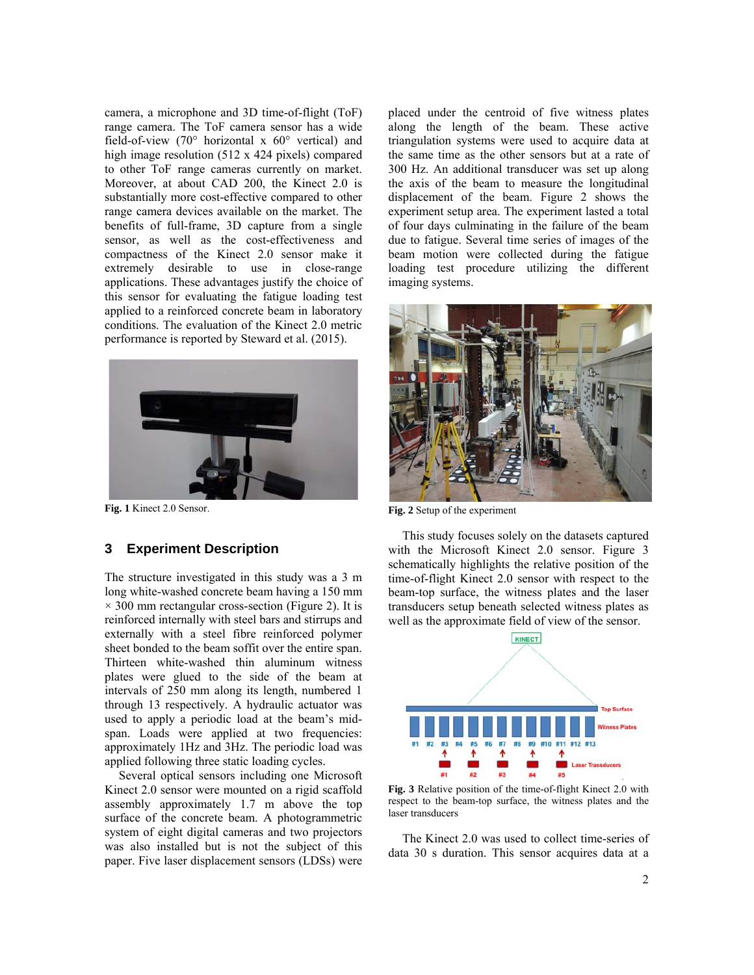camera, a microphone and 3D time-of-flight (ToF) range camera. The ToF camera sensor has a wide field-of-view (70° horizontal x 60° vertical) and high image resolution (512 x 424 pixels) compared to other ToF range cameras currently on market. Moreover, at about CAD 200, the Kinect 2.0 is substantially more cost-effective compared to other range camera devices available on the market. The benefits of full-frame, 3D capture from a single sensor, as well as the cost-effectiveness and compactness of the Kinect 2.0 sensor make it extremely desirable to use in close-range applications. These advantages justify the choice of this sensor for evaluating the fatigue loading test applied to a reinforced concrete beam in laboratory conditions. The evaluation of the Kinect 2.0 metric performance is reported by Steward et al. (2015).



**Fig. 1** Kinect 2.0 Sensor.

#### **3 Experiment Description**

The structure investigated in this study was a 3 m long white-washed concrete beam having a 150 mm  $\times$  300 mm rectangular cross-section (Figure 2). It is reinforced internally with steel bars and stirrups and externally with a steel fibre reinforced polymer sheet bonded to the beam soffit over the entire span. Thirteen white-washed thin aluminum witness plates were glued to the side of the beam at intervals of 250 mm along its length, numbered 1 through 13 respectively. A hydraulic actuator was used to apply a periodic load at the beam's midspan. Loads were applied at two frequencies: approximately 1Hz and 3Hz. The periodic load was applied following three static loading cycles.

Several optical sensors including one Microsoft Kinect 2.0 sensor were mounted on a rigid scaffold assembly approximately 1.7 m above the top surface of the concrete beam. A photogrammetric system of eight digital cameras and two projectors was also installed but is not the subject of this paper. Five laser displacement sensors (LDSs) were placed under the centroid of five witness plates along the length of the beam. These active triangulation systems were used to acquire data at the same time as the other sensors but at a rate of 300 Hz. An additional transducer was set up along the axis of the beam to measure the longitudinal displacement of the beam. Figure 2 shows the experiment setup area. The experiment lasted a total of four days culminating in the failure of the beam due to fatigue. Several time series of images of the beam motion were collected during the fatigue loading test procedure utilizing the different imaging systems.



**Fig. 2** Setup of the experiment

This study focuses solely on the datasets captured with the Microsoft Kinect 2.0 sensor. Figure 3 schematically highlights the relative position of the time-of-flight Kinect 2.0 sensor with respect to the beam-top surface, the witness plates and the laser transducers setup beneath selected witness plates as well as the approximate field of view of the sensor.



**Fig. 3** Relative position of the time-of-flight Kinect 2.0 with respect to the beam-top surface, the witness plates and the laser transducers

The Kinect 2.0 was used to collect time-series of data 30 s duration. This sensor acquires data at a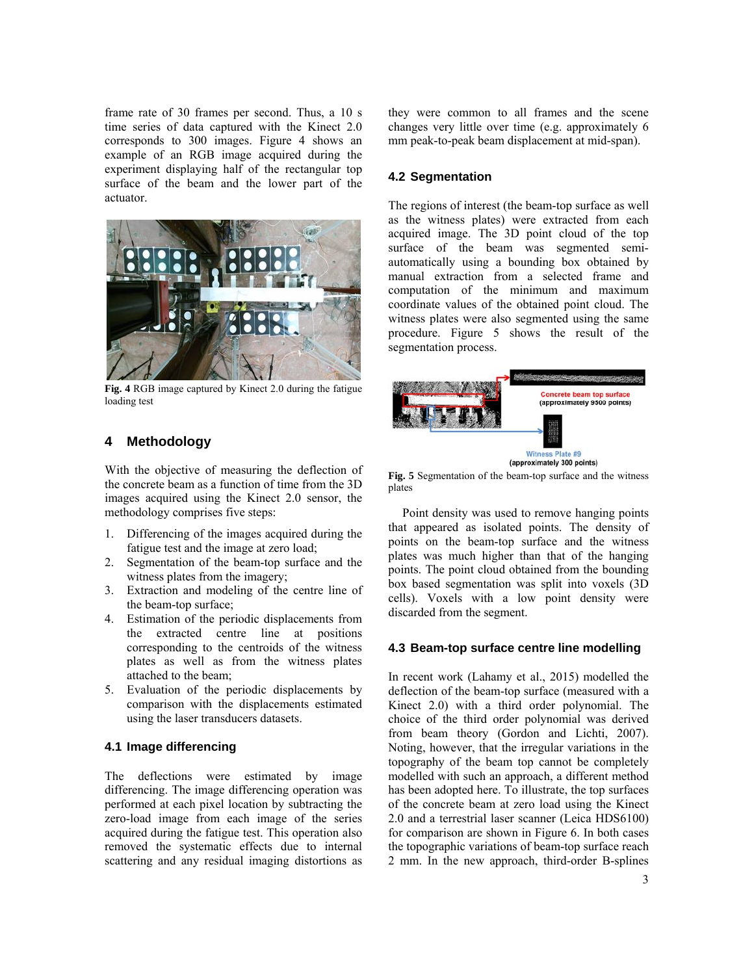frame rate of 30 frames per second. Thus, a 10 s time series of data captured with the Kinect 2.0 corresponds to 300 images. Figure 4 shows an example of an RGB image acquired during the experiment displaying half of the rectangular top surface of the beam and the lower part of the actuator.



**Fig. 4** RGB image captured by Kinect 2.0 during the fatigue loading test

# **4 Methodology**

With the objective of measuring the deflection of the concrete beam as a function of time from the 3D images acquired using the Kinect 2.0 sensor, the methodology comprises five steps:

- 1. Differencing of the images acquired during the fatigue test and the image at zero load;
- 2. Segmentation of the beam-top surface and the witness plates from the imagery;
- 3. Extraction and modeling of the centre line of the beam-top surface;
- 4. Estimation of the periodic displacements from the extracted centre line at positions corresponding to the centroids of the witness plates as well as from the witness plates attached to the beam;
- 5. Evaluation of the periodic displacements by comparison with the displacements estimated using the laser transducers datasets.

## **4.1 Image differencing**

The deflections were estimated by image differencing. The image differencing operation was performed at each pixel location by subtracting the zero-load image from each image of the series acquired during the fatigue test. This operation also removed the systematic effects due to internal scattering and any residual imaging distortions as

they were common to all frames and the scene changes very little over time (e.g. approximately 6 mm peak-to-peak beam displacement at mid-span).

## **4.2 Segmentation**

The regions of interest (the beam-top surface as well as the witness plates) were extracted from each acquired image. The 3D point cloud of the top surface of the beam was segmented semiautomatically using a bounding box obtained by manual extraction from a selected frame and computation of the minimum and maximum coordinate values of the obtained point cloud. The witness plates were also segmented using the same procedure. Figure 5 shows the result of the segmentation process.



**Fig. 5** Segmentation of the beam-top surface and the witness plates

Point density was used to remove hanging points that appeared as isolated points. The density of points on the beam-top surface and the witness plates was much higher than that of the hanging points. The point cloud obtained from the bounding box based segmentation was split into voxels (3D cells). Voxels with a low point density were discarded from the segment.

#### **4.3 Beam-top surface centre line modelling**

In recent work (Lahamy et al., 2015) modelled the deflection of the beam-top surface (measured with a Kinect 2.0) with a third order polynomial. The choice of the third order polynomial was derived from beam theory (Gordon and Lichti, 2007). Noting, however, that the irregular variations in the topography of the beam top cannot be completely modelled with such an approach, a different method has been adopted here. To illustrate, the top surfaces of the concrete beam at zero load using the Kinect 2.0 and a terrestrial laser scanner (Leica HDS6100) for comparison are shown in Figure 6. In both cases the topographic variations of beam-top surface reach 2 mm. In the new approach, third-order B-splines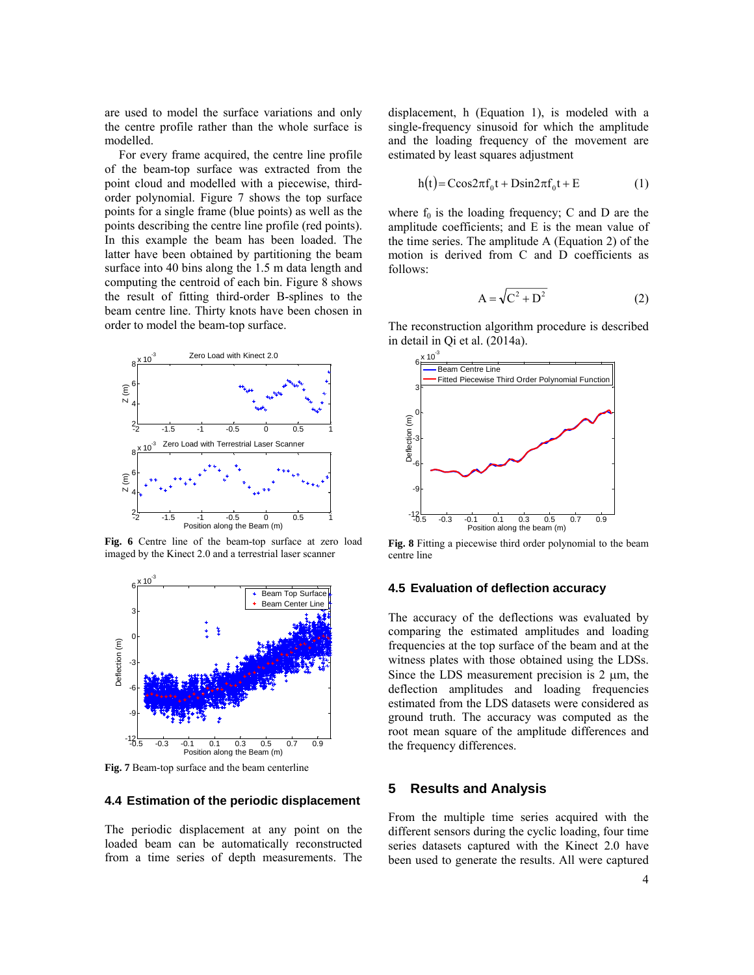are used to model the surface variations and only the centre profile rather than the whole surface is modelled.

For every frame acquired, the centre line profile of the beam-top surface was extracted from the point cloud and modelled with a piecewise, thirdorder polynomial. Figure 7 shows the top surface points for a single frame (blue points) as well as the points describing the centre line profile (red points). In this example the beam has been loaded. The latter have been obtained by partitioning the beam surface into 40 bins along the 1.5 m data length and computing the centroid of each bin. Figure 8 shows the result of fitting third-order B-splines to the beam centre line. Thirty knots have been chosen in order to model the beam-top surface.



**Fig. 6** Centre line of the beam-top surface at zero load imaged by the Kinect 2.0 and a terrestrial laser scanner



**Fig. 7** Beam-top surface and the beam centerline

#### **4.4 Estimation of the periodic displacement**

The periodic displacement at any point on the loaded beam can be automatically reconstructed from a time series of depth measurements. The

displacement, h (Equation 1), is modeled with a single-frequency sinusoid for which the amplitude and the loading frequency of the movement are estimated by least squares adjustment

$$
h(t) = C\cos 2\pi f_0 t + D\sin 2\pi f_0 t + E \tag{1}
$$

where  $f_0$  is the loading frequency; C and D are the amplitude coefficients; and E is the mean value of the time series. The amplitude A (Equation 2) of the motion is derived from C and D coefficients as follows:

$$
A = \sqrt{C^2 + D^2} \tag{2}
$$

The reconstruction algorithm procedure is described in detail in Qi et al. (2014a).



**Fig. 8** Fitting a piecewise third order polynomial to the beam centre line

#### **4.5 Evaluation of deflection accuracy**

The accuracy of the deflections was evaluated by comparing the estimated amplitudes and loading frequencies at the top surface of the beam and at the witness plates with those obtained using the LDSs. Since the LDS measurement precision is  $2 \mu m$ , the deflection amplitudes and loading frequencies estimated from the LDS datasets were considered as ground truth. The accuracy was computed as the root mean square of the amplitude differences and the frequency differences.

#### **5 Results and Analysis**

From the multiple time series acquired with the different sensors during the cyclic loading, four time series datasets captured with the Kinect 2.0 have been used to generate the results. All were captured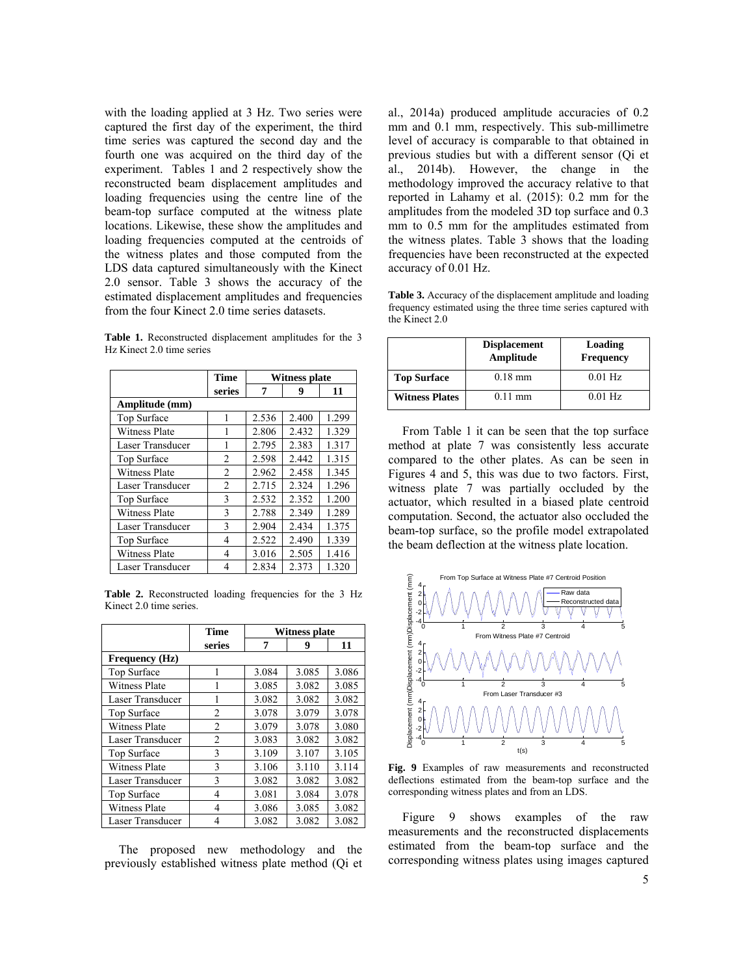with the loading applied at 3 Hz. Two series were captured the first day of the experiment, the third time series was captured the second day and the fourth one was acquired on the third day of the experiment. Tables 1 and 2 respectively show the reconstructed beam displacement amplitudes and loading frequencies using the centre line of the beam-top surface computed at the witness plate locations. Likewise, these show the amplitudes and loading frequencies computed at the centroids of the witness plates and those computed from the LDS data captured simultaneously with the Kinect 2.0 sensor. Table 3 shows the accuracy of the estimated displacement amplitudes and frequencies from the four Kinect 2.0 time series datasets.

**Table 1.** Reconstructed displacement amplitudes for the 3 Hz Kinect 2.0 time series

|                      | <b>Time</b>    | Witness plate |       |       |  |  |  |
|----------------------|----------------|---------------|-------|-------|--|--|--|
|                      | series         | 7             | 9     | 11    |  |  |  |
| Amplitude (mm)       |                |               |       |       |  |  |  |
| Top Surface          | 1              | 2.536         | 2.400 | 1.299 |  |  |  |
| Witness Plate        | 1              | 2.806         | 2.432 | 1.329 |  |  |  |
| Laser Transducer     | 1              | 2.795         | 2.383 | 1.317 |  |  |  |
| Top Surface          | 2              | 2.598         | 2.442 | 1.315 |  |  |  |
| <b>Witness Plate</b> | 2              | 2.962         | 2.458 | 1.345 |  |  |  |
| Laser Transducer     | $\overline{c}$ | 2.715         | 2.324 | 1.296 |  |  |  |
| Top Surface          | 3              | 2.532         | 2.352 | 1.200 |  |  |  |
| <b>Witness Plate</b> | 3              | 2.788         | 2.349 | 1.289 |  |  |  |
| Laser Transducer     | 3              | 2.904         | 2.434 | 1.375 |  |  |  |
| Top Surface          | 4              | 2.522         | 2.490 | 1.339 |  |  |  |
| Witness Plate        | 4              | 3.016         | 2.505 | 1.416 |  |  |  |
| Laser Transducer     | 4              | 2.834         | 2.373 | 1.320 |  |  |  |

**Table 2.** Reconstructed loading frequencies for the 3 Hz Kinect 2.0 time series.

|                       | Time<br>series | Witness plate |       |       |
|-----------------------|----------------|---------------|-------|-------|
|                       |                | 7             | 9     | 11    |
| <b>Frequency (Hz)</b> |                |               |       |       |
| Top Surface           |                | 3.084         | 3.085 | 3.086 |
| Witness Plate         |                | 3.085         | 3.082 | 3.085 |
| Laser Transducer      |                | 3.082         | 3.082 | 3.082 |
| Top Surface           | 2              | 3.078         | 3.079 | 3.078 |
| Witness Plate         | 2              | 3.079         | 3.078 | 3.080 |
| Laser Transducer      | 2              | 3.083         | 3.082 | 3.082 |
| Top Surface           | 3              | 3.109         | 3.107 | 3.105 |
| <b>Witness Plate</b>  | 3              | 3.106         | 3.110 | 3.114 |
| Laser Transducer      | 3              | 3.082         | 3.082 | 3.082 |
| Top Surface           | 4              | 3.081         | 3.084 | 3.078 |
| <b>Witness Plate</b>  | 4              | 3.086         | 3.085 | 3.082 |
| Laser Transducer      |                | 3.082         | 3.082 | 3.082 |

The proposed new methodology and the previously established witness plate method (Qi et al., 2014a) produced amplitude accuracies of 0.2 mm and 0.1 mm, respectively. This sub-millimetre level of accuracy is comparable to that obtained in previous studies but with a different sensor (Qi et al., 2014b). However, the change in the methodology improved the accuracy relative to that reported in Lahamy et al. (2015): 0.2 mm for the amplitudes from the modeled 3D top surface and 0.3 mm to 0.5 mm for the amplitudes estimated from the witness plates. Table 3 shows that the loading frequencies have been reconstructed at the expected accuracy of 0.01 Hz.

**Table 3.** Accuracy of the displacement amplitude and loading frequency estimated using the three time series captured with the Kinect 2.0

|                       | <b>Displacement</b><br>Amplitude | Loading<br><b>Frequency</b> |  |
|-----------------------|----------------------------------|-----------------------------|--|
| <b>Top Surface</b>    | $0.18$ mm                        | $0.01$ Hz                   |  |
| <b>Witness Plates</b> | $0.11$ mm                        | $0.01$ Hz                   |  |

From Table 1 it can be seen that the top surface method at plate 7 was consistently less accurate compared to the other plates. As can be seen in Figures 4 and 5, this was due to two factors. First, witness plate 7 was partially occluded by the actuator, which resulted in a biased plate centroid computation. Second, the actuator also occluded the beam-top surface, so the profile model extrapolated the beam deflection at the witness plate location.



**Fig. 9** Examples of raw measurements and reconstructed deflections estimated from the beam-top surface and the corresponding witness plates and from an LDS.

Figure 9 shows examples of the raw measurements and the reconstructed displacements estimated from the beam-top surface and the corresponding witness plates using images captured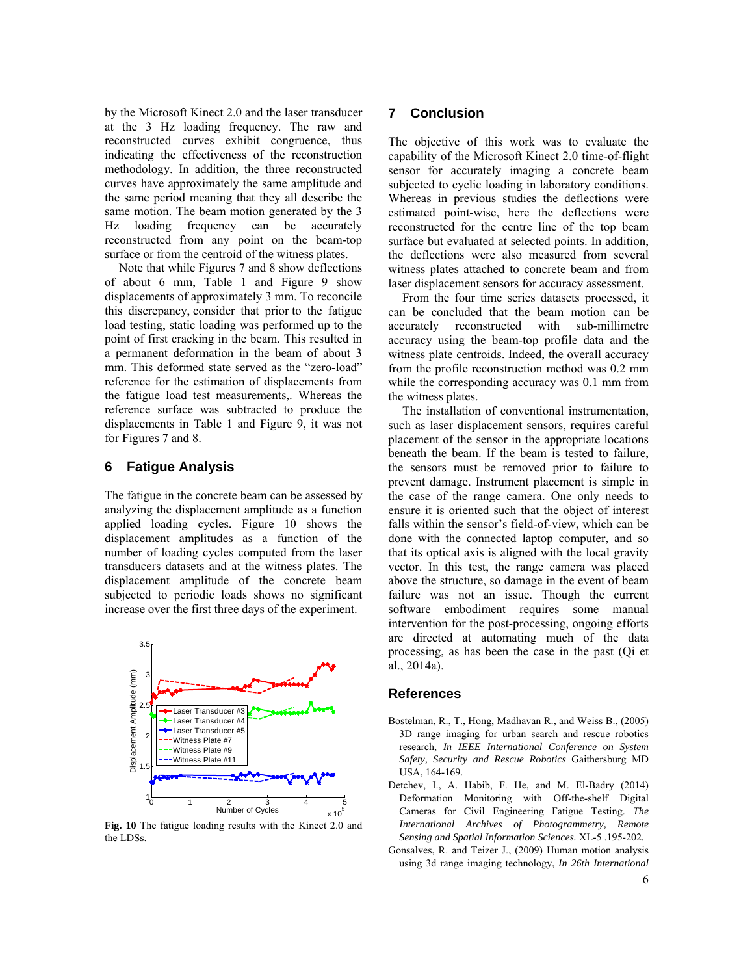by the Microsoft Kinect 2.0 and the laser transducer at the 3 Hz loading frequency. The raw and reconstructed curves exhibit congruence, thus indicating the effectiveness of the reconstruction methodology. In addition, the three reconstructed curves have approximately the same amplitude and the same period meaning that they all describe the same motion. The beam motion generated by the 3 Hz loading frequency can be accurately reconstructed from any point on the beam-top surface or from the centroid of the witness plates.

Note that while Figures 7 and 8 show deflections of about 6 mm, Table 1 and Figure 9 show displacements of approximately 3 mm. To reconcile this discrepancy, consider that prior to the fatigue load testing, static loading was performed up to the point of first cracking in the beam. This resulted in a permanent deformation in the beam of about 3 mm. This deformed state served as the "zero-load" reference for the estimation of displacements from the fatigue load test measurements,. Whereas the reference surface was subtracted to produce the displacements in Table 1 and Figure 9, it was not for Figures 7 and 8.

## **6 Fatigue Analysis**

The fatigue in the concrete beam can be assessed by analyzing the displacement amplitude as a function applied loading cycles. Figure 10 shows the displacement amplitudes as a function of the number of loading cycles computed from the laser transducers datasets and at the witness plates. The displacement amplitude of the concrete beam subjected to periodic loads shows no significant increase over the first three days of the experiment.



**Fig. 10** The fatigue loading results with the Kinect 2.0 and the LDSs.

#### **7 Conclusion**

The objective of this work was to evaluate the capability of the Microsoft Kinect 2.0 time-of-flight sensor for accurately imaging a concrete beam subjected to cyclic loading in laboratory conditions. Whereas in previous studies the deflections were estimated point-wise, here the deflections were reconstructed for the centre line of the top beam surface but evaluated at selected points. In addition, the deflections were also measured from several witness plates attached to concrete beam and from laser displacement sensors for accuracy assessment.

From the four time series datasets processed, it can be concluded that the beam motion can be accurately reconstructed with sub-millimetre accuracy using the beam-top profile data and the witness plate centroids. Indeed, the overall accuracy from the profile reconstruction method was 0.2 mm while the corresponding accuracy was 0.1 mm from the witness plates.

The installation of conventional instrumentation, such as laser displacement sensors, requires careful placement of the sensor in the appropriate locations beneath the beam. If the beam is tested to failure, the sensors must be removed prior to failure to prevent damage. Instrument placement is simple in the case of the range camera. One only needs to ensure it is oriented such that the object of interest falls within the sensor's field-of-view, which can be done with the connected laptop computer, and so that its optical axis is aligned with the local gravity vector. In this test, the range camera was placed above the structure, so damage in the event of beam failure was not an issue. Though the current software embodiment requires some manual intervention for the post-processing, ongoing efforts are directed at automating much of the data processing, as has been the case in the past (Qi et al., 2014a).

#### **References**

- Bostelman, R., T., Hong, Madhavan R., and Weiss B., (2005) 3D range imaging for urban search and rescue robotics research, *In IEEE International Conference on System Safety, Security and Rescue Robotics* Gaithersburg MD USA, 164-169.
- Detchev, I., A. Habib, F. He, and M. El-Badry (2014) Deformation Monitoring with Off-the-shelf Digital Cameras for Civil Engineering Fatigue Testing. *The International Archives of Photogrammetry, Remote Sensing and Spatial Information Sciences.* XL-5 .195-202*.*
- Gonsalves, R. and Teizer J., (2009) Human motion analysis using 3d range imaging technology, *In 26th International*